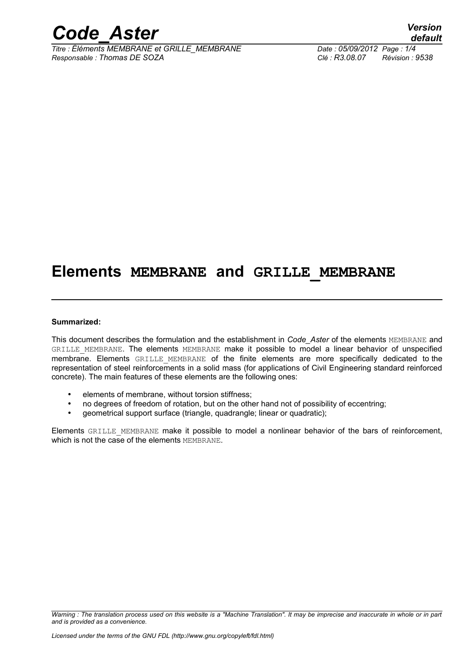

*Titre : Éléments MEMBRANE et GRILLE\_MEMBRANE Date : 05/09/2012 Page : 1/4 Responsable : Thomas DE SOZA Clé : R3.08.07 Révision : 9538*

*default*

### **Elements MEMBRANE and GRILLE\_MEMBRANE**

#### **Summarized:**

This document describes the formulation and the establishment in *Code\_Aster* of the elements MEMBRANE and GRILLE MEMBRANE. The elements MEMBRANE make it possible to model a linear behavior of unspecified membrane. Elements GRILLE\_MEMBRANE of the finite elements are more specifically dedicated to the representation of steel reinforcements in a solid mass (for applications of Civil Engineering standard reinforced concrete). The main features of these elements are the following ones:

- elements of membrane, without torsion stiffness;
- no degrees of freedom of rotation, but on the other hand not of possibility of eccentring;
- geometrical support surface (triangle, quadrangle; linear or quadratic);

Elements GRILLE\_MEMBRANE\_make it possible to model a nonlinear behavior of the bars of reinforcement, which is not the case of the elements MEMBRANE.

*Warning : The translation process used on this website is a "Machine Translation". It may be imprecise and inaccurate in whole or in part and is provided as a convenience.*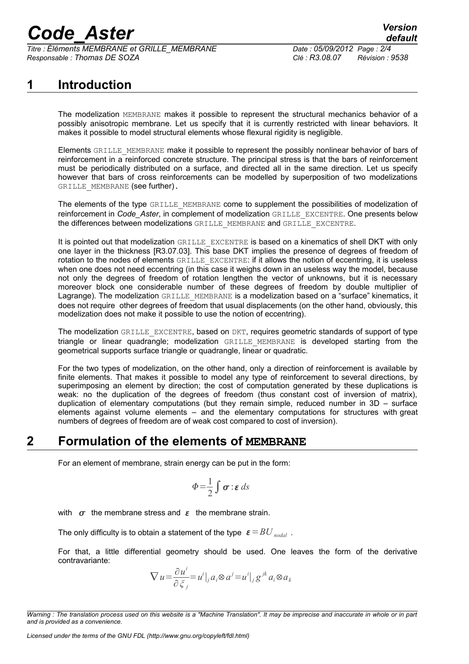# *Code\_Aster Version*

*Titre : Éléments MEMBRANE et GRILLE\_MEMBRANE Date : 05/09/2012 Page : 2/4 Responsable : Thomas DE SOZA Clé : R3.08.07 Révision : 9538*

#### **1 Introduction**

The modelization MEMBRANE makes it possible to represent the structural mechanics behavior of a possibly anisotropic membrane. Let us specify that it is currently restricted with linear behaviors. It makes it possible to model structural elements whose flexural rigidity is negligible.

Elements GRILLE\_MEMBRANE make it possible to represent the possibly nonlinear behavior of bars of reinforcement in a reinforced concrete structure. The principal stress is that the bars of reinforcement must be periodically distributed on a surface, and directed all in the same direction. Let us specify however that bars of cross reinforcements can be modelled by superposition of two modelizations GRILLE MEMBRANE (see further).

The elements of the type GRILLE\_MEMBRANE come to supplement the possibilities of modelization of reinforcement in *Code\_Aster*, in complement of modelization GRILLE\_EXCENTRE. One presents below the differences between modelizations GRILLE\_MEMBRANE and GRILLE\_EXCENTRE.

It is pointed out that modelization GRILLE\_EXCENTRE is based on a kinematics of shell DKT with only one layer in the thickness [R3.07.03]. This base DKT implies the presence of degrees of freedom of rotation to the nodes of elements GRILLE\_EXCENTRE: if it allows the notion of eccentring, it is useless when one does not need eccentring (in this case it weighs down in an useless way the model, because not only the degrees of freedom of rotation lengthen the vector of unknowns, but it is necessary moreover block one considerable number of these degrees of freedom by double multiplier of Lagrange). The modelization GRILLE\_MEMBRANE is a modelization based on a "surface" kinematics, it does not require other degrees of freedom that usual displacements (on the other hand, obviously, this modelization does not make it possible to use the notion of eccentring).

The modelization GRILLE EXCENTRE, based on DKT, requires geometric standards of support of type triangle or linear quadrangle; modelization GRILLE\_MEMBRANE is developed starting from the geometrical supports surface triangle or quadrangle, linear or quadratic.

For the two types of modelization, on the other hand, only a direction of reinforcement is available by finite elements. That makes it possible to model any type of reinforcement to several directions, by superimposing an element by direction; the cost of computation generated by these duplications is weak: no the duplication of the degrees of freedom (thus constant cost of inversion of matrix), duplication of elementary computations (but they remain simple, reduced number in 3D – surface elements against volume elements – and the elementary computations for structures with great numbers of degrees of freedom are of weak cost compared to cost of inversion).

#### **2 Formulation of the elements of MEMBRANE**

For an element of membrane, strain energy can be put in the form:

$$
\Phi = \frac{1}{2} \int \boldsymbol{\sigma} : \boldsymbol{\varepsilon} \, ds
$$

with  $\sigma$  the membrane stress and  $\varepsilon$  the membrane strain.

The only difficulty is to obtain a statement of the type  $\varepsilon = BU$  *nodal*.

For that, a little differential geometry should be used. One leaves the form of the derivative contravariante:

$$
\nabla u = \frac{\partial u^i}{\partial \xi_j} = u^i|_{j} a_i \otimes a^j = u^i|_{j} g^{jk} a_i \otimes a_k
$$

*Warning : The translation process used on this website is a "Machine Translation". It may be imprecise and inaccurate in whole or in part and is provided as a convenience.*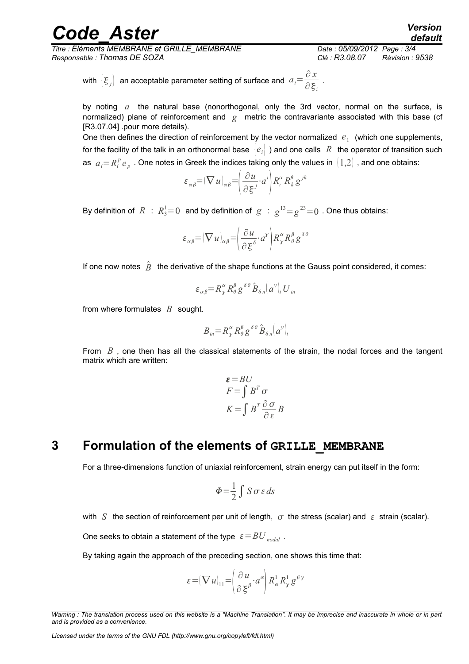## *Code\_Aster Version*

*Titre : Éléments MEMBRANE et GRILLE\_MEMBRANE Date : 05/09/2012 Page : 3/4 Responsable : Thomas DE SOZA Clé : R3.08.07 Révision : 9538*

*default*

with 
$$
[\xi_j]
$$
 an acceptable parameter setting of surface and  $a_i = \frac{\partial x}{\partial \xi_i}$ .

by noting *a* the natural base (nonorthogonal, only the 3rd vector, normal on the surface, is normalized) plane of reinforcement and *g* metric the contravariante associated with this base (cf [R3.07.04] .pour more details).

One then defines the direction of reinforcement by the vector normalized  $e_1$  (which one supplements, for the facility of the talk in an orthonormal base  $|e_i|$  ) and one calls R the operator of transition such as  $a_i$ = $R_i^p$   $e_p$  . One notes in Greek the indices taking only the values in  $\, (1,2)$  , and one obtains:

$$
\varepsilon_{\alpha\beta} = (\nabla u)_{\alpha\beta} = \left(\frac{\partial u}{\partial \xi^{j}} \cdot a^{i}\right) R_{i}^{\alpha} R_{k}^{\beta} g^{jk}
$$

By definition of  $\ R \ : \ R_3^1\!\!=\!0\;$  and by definition of  $\ |g \ : \ _{\mathcal{B}}^{13}\!\!=\! g^{23}\!\!=\!0\;$  . One thus obtains:

$$
\varepsilon_{\alpha\beta} = (\nabla u)_{\alpha\beta} = \left(\frac{\partial u}{\partial \xi^{\delta}} \cdot a^{\gamma}\right) R^{\alpha}_{\gamma} R^{\beta}_{\theta} g^{\delta\theta}
$$

If one now notes  $\hat{B}$  the derivative of the shape functions at the Gauss point considered, it comes:

$$
\varepsilon_{\alpha\beta} = R^{\alpha}_{\gamma} R^{\beta}_{\theta} g^{\delta\theta} \hat{B}_{\delta n} (a^{\gamma})_{i} U_{in}
$$

from where formulates *B* sought.

$$
B_{in} = R^{\alpha}_{\gamma} R^{\beta}_{\theta} g^{\delta \theta} \hat{B}_{\delta n} (a^{\gamma})_i
$$

From *B*, one then has all the classical statements of the strain, the nodal forces and the tangent matrix which are written:

$$
\varepsilon = BU
$$
  
\n
$$
F = \int B^T \sigma
$$
  
\n
$$
K = \int B^T \frac{\partial \sigma}{\partial \varepsilon} B
$$

#### **3 Formulation of the elements of GRILLE\_MEMBRANE**

For a three-dimensions function of uniaxial reinforcement, strain energy can put itself in the form:

$$
\Phi = \frac{1}{2} \int S \sigma \, \varepsilon \, ds
$$

with *S* the section of reinforcement per unit of length,  $\sigma$  the stress (scalar) and  $\varepsilon$  strain (scalar).

One seeks to obtain a statement of the type  $\varepsilon = BU$  *nodal*.

By taking again the approach of the preceding section, one shows this time that:

$$
\varepsilon = (\nabla u)_{11} = \left(\frac{\partial u}{\partial \xi^{\beta}} \cdot a^{\alpha}\right) R_{\alpha}^{1} R_{\gamma}^{1} g^{\beta \gamma}
$$

*Warning : The translation process used on this website is a "Machine Translation". It may be imprecise and inaccurate in whole or in part and is provided as a convenience.*